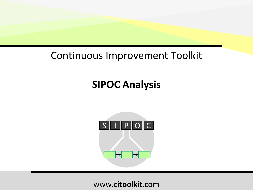## Continuous Improvement Toolkit

## **SIPOC Analysis**

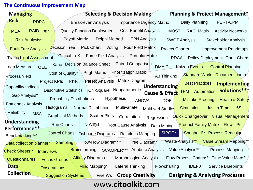#### **The Continuous Improvement Map**

| <b>Managing</b>                            | Selecting & Decision Making                                                     | <b>Planning &amp; Project Management*</b>                                   |
|--------------------------------------------|---------------------------------------------------------------------------------|-----------------------------------------------------------------------------|
| <b>Risk</b><br><b>PDPC</b>                 | <b>Importance Urgency Matrix</b><br><b>Break-even Analysis</b>                  | PERT/CPM<br>Daily Planning                                                  |
| <b>RAID Log*</b><br><b>FMEA</b>            | Quality Function Deployment Cost Benefit Analysis                               | <b>MOST</b><br><b>RACI Matrix</b><br><b>Activity Networks</b>               |
| <b>Risk Analysis*</b>                      | <b>Payoff Matrix</b><br>Delphi Method<br><b>TPN Analysis</b>                    | <b>SWOT Analysis</b><br><b>Stakeholder Analysis</b>                         |
| <b>Fault Tree Analysis</b>                 | <b>Decision Tree</b><br><b>Pick Chart</b><br>Voting<br><b>Four Field Matrix</b> | <b>Project Charter</b><br><b>Improvement Roadmaps</b>                       |
| <b>Traffic Light Assessment</b>            | <b>Force Field Analysis</b><br><b>Portfolio Matrix</b><br>Critical-to X         | <b>PDCA</b><br><b>Policy Deployment Gantt Charts</b>                        |
| Lean Measures OEE                          | Kano Decision Balance Sheet Paired Comparison                                   | <b>DMAIC</b><br>Kaizen Events Control Planning                              |
| Process Yield                              | <b>Pugh Matrix Prioritization Matrix</b><br>Cost of Quality*                    | <b>Standard Work Document control</b><br>A3 Thinking                        |
|                                            | Pareto Analysis Matrix Diagram<br><b>Project KPIs</b><br><b>KPIs</b>            | <b>Best Practices</b><br>Implementing<br>Understanding                      |
| <b>Capability Indices</b>                  | Chi-Square Nonparametric<br><b>Descriptive Statistics</b>                       | TPM Automation Solutions***<br><b>Cause &amp; Effect</b>                    |
| Gap Analysis*                              | Hypothesis<br><b>Probability Distributions</b><br><b>ANOVA</b>                  | <b>Mistake Proofing</b><br><b>Health &amp; Safety</b><br><b>DOE</b>         |
| <b>Bottleneck Analysis</b>                 | Multivariate<br><b>Histograms</b><br>Normal Distribution                        | <b>5S</b><br><b>Simulation</b><br><b>Just in Time</b><br>Multi-vari Studies |
| <b>Reliability</b><br><b>MSA</b>           | <b>Graphical Methods</b><br><b>Scatter Plots</b> Correlation<br>Regression      | Quick Changeover Visual Management                                          |
| Understanding<br>Performance**             | <b>Run Charts</b><br>5 Whys<br>Root Cause Analysis Data Mining                  | <b>Product Family Matrix Flow Pull</b>                                      |
| Benchmarking***                            | <b>Control Charts</b><br>Fishbone Diagrams Relations Mapping                    | SIPOC*<br>Spaghetti** Process Redesign                                      |
| Data collection planner* Sampling          | How-How Diagram***<br>Tree Diagram <sup>*</sup>                                 | Waste Analysis** Value Stream Mapping**                                     |
| <b>Check Sheets**</b><br><b>Interviews</b> | SCAMPER*** Attribute Analysis<br><b>Brainstorming</b>                           | Value Analysis**<br><b>Process Mapping</b>                                  |
| <b>Questionnaires</b>                      | <b>Affinity Diagrams</b><br>Morphological Analysis<br><b>Focus Groups</b>       | Flow Process Charts** Time Value Map**                                      |
| <b>Data</b>                                | <b>Lateral Thinking</b><br>Mind Mapping*<br><b>Observations</b>                 | Flowcharting<br><b>IDEF0</b><br>Service Blueprints                          |
| <b>Collection</b>                          | <b>Group Creativity</b><br><b>Suggestion Systems</b><br>Five Ws                 | <b>Designing &amp; Analyzing Processes</b>                                  |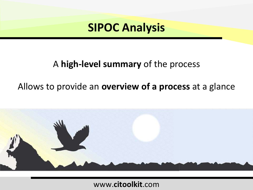

## A **high-level summary** of the process

## Allows to provide an **overview of a process** at a glance

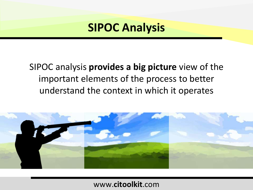## SIPOC analysis **provides a big picture** view of the important elements of the process to better understand the context in which it operates

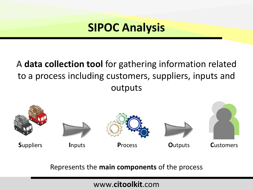## A **data collection tool** for gathering information related to a process including customers, suppliers, inputs and outputs



Represents the **main components** of the process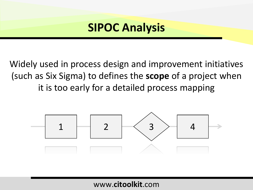Widely used in process design and improvement initiatives (such as Six Sigma) to defines the **scope** of a project when it is too early for a detailed process mapping

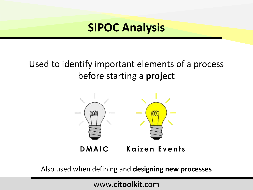## Used to identify important elements of a process before starting a **project**



**DMAIC Kaizen Events** 

Also used when defining and **designing new processes**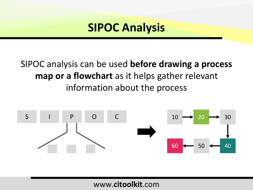## SIPOC analysis can be used **before drawing a process map or a flowchart** as it helps gather relevant information about the process

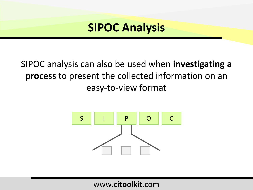## SIPOC analysis can also be used when **investigating a process** to present the collected information on an easy-to-view format

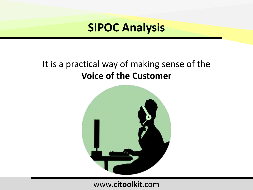## It is a practical way of making sense of the **Voice of the Customer**

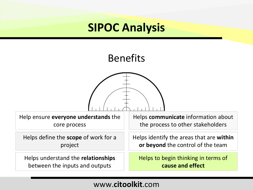## Benefits



Help ensure **everyone understands** the core process

Helps **communicate** information about the process to other stakeholders

Helps define the **scope** of work for a project

Helps understand the **relationships** between the inputs and outputs

Helps identify the areas that are **within or beyond** the control of the team

Helps to begin thinking in terms of **cause and effect**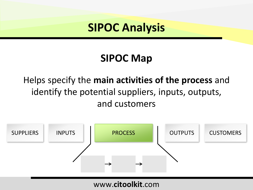# **SIPOC Map**

## Helps specify the **main activities of the process** and identify the potential suppliers, inputs, outputs, and customers

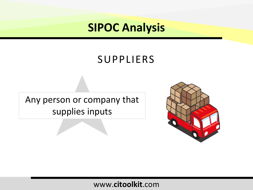## SUPPLIERS

Any person or company that supplies inputs

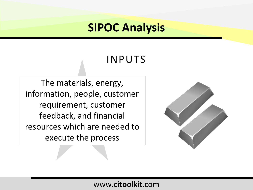## INPUTS

The materials, energy, information, people, customer requirement, customer feedback, and financial resources which are needed to execute the process

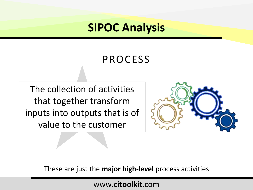## PROCESS

The collection of activities that together transform inputs into outputs that is of value to the customer



These are just the **major high-level** process activities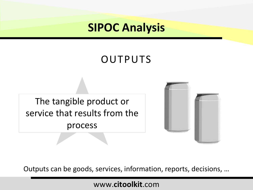# OUTPUTS

The tangible product or service that results from the process



Outputs can be goods, services, information, reports, decisions, …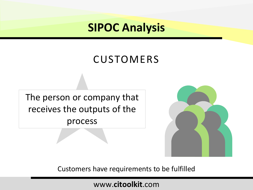## **CUSTOMERS**

The person or company that receives the outputs of the process



Customers have requirements to be fulfilled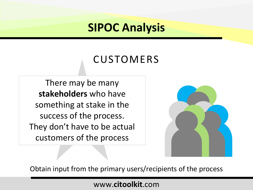## **CUSTOMERS**

There may be many **stakeholders** who have something at stake in the success of the process. They don't have to be actual customers of the process



Obtain input from the primary users/recipients of the process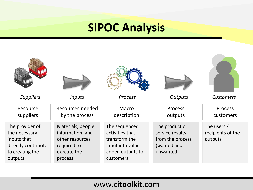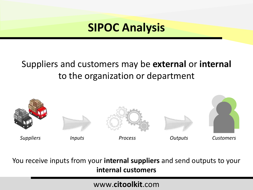## Suppliers and customers may be **external** or **internal**  to the organization or department



You receive inputs from your **internal suppliers** and send outputs to your **internal customers**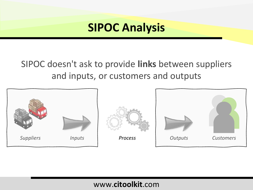## SIPOC doesn't ask to provide **links** between suppliers and inputs, or customers and outputs

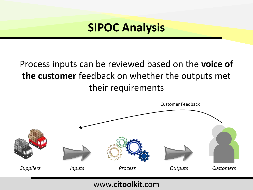## Process inputs can be reviewed based on the **voice of the customer** feedback on whether the outputs met their requirements

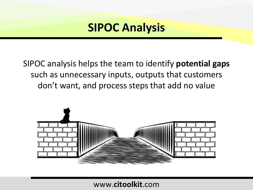SIPOC analysis helps the team to identify **potential gaps**  such as unnecessary inputs, outputs that customers don't want, and process steps that add no value

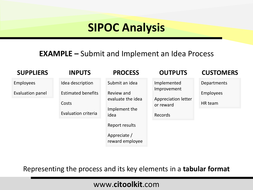### **EXAMPLE –** Submit and Implement an Idea Process

| <b>SUPPLIERS</b> | <b>INPUTS</b>              | <b>PROCESS</b>                     | <b>OUTPUTS</b>                          | <b>CUSTOMERS</b> |
|------------------|----------------------------|------------------------------------|-----------------------------------------|------------------|
| <b>Employees</b> | Idea description           | Submit an idea                     | Implemented<br>Improvement              | Departments      |
| Evaluation panel | <b>Estimated benefits</b>  | Review and                         |                                         | <b>Employees</b> |
|                  | Costs                      | evaluate the idea<br>Implement the | <b>Appreciation letter</b><br>or reward | HR team          |
|                  | <b>Evaluation criteria</b> | idea                               | <b>Records</b>                          |                  |
|                  |                            | Report results                     |                                         |                  |
|                  |                            | Appreciate /<br>reward employee    |                                         |                  |

Representing the process and its key elements in a **tabular format**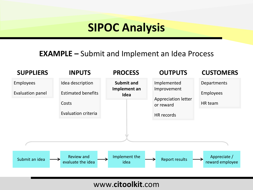### **EXAMPLE –** Submit and Implement an Idea Process

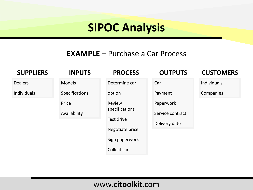### **EXAMPLE –** Purchase a Car Process

#### **SUPPLIERS**

#### Dealers

Individuals

#### **PROCESS INPUTS**

Models

Price

Specifications

Availability

#### Determine car

option

Review specifications

Test drive

Negotiate price

Sign paperwork

Collect car

### **OUTPUTS**

#### **CUSTOMERS**

Individuals

Companies

Paperwork

Payment

**Car** 

Service contract

Delivery date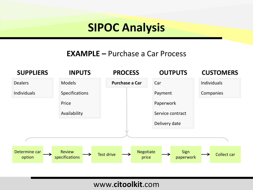### **EXAMPLE –** Purchase a Car Process

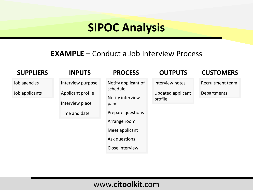### **EXAMPLE –** Conduct a Job Interview Process

| <b>SUPPLIERS</b>               | <b>INPUTS</b>                                                              | <b>PROCESS</b>                                                                                                                                          | <b>OUTPUTS</b>                                         | <b>CUSTOMERS</b>                |
|--------------------------------|----------------------------------------------------------------------------|---------------------------------------------------------------------------------------------------------------------------------------------------------|--------------------------------------------------------|---------------------------------|
| Job agencies<br>Job applicants | Interview purpose<br>Applicant profile<br>Interview place<br>Time and date | Notify applicant of<br>schedule<br>Notify interview<br>panel<br>Prepare questions<br>Arrange room<br>Meet applicant<br>Ask questions<br>Close interview | Interview notes<br><b>Updated applicant</b><br>profile | Recruitment team<br>Departments |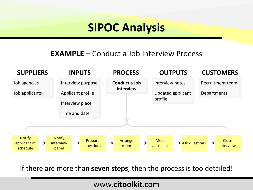### **EXAMPLE –** Conduct a Job Interview Process



If there are more than **seven steps**, then the process is too detailed!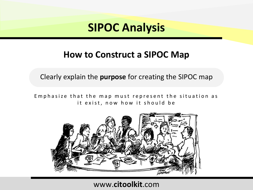## **How to Construct a SIPOC Map**

Clearly explain the **purpose** for creating the SIPOC map

Emphasize that the map must represent the situation as it exist, now how it should be

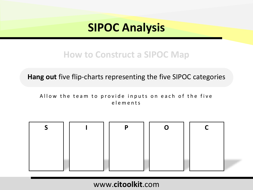## **How to Construct a SIPOC Map**

**Hang out** five flip-charts representing the five SIPOC categories

Allow the team to provide inputs on each of the five e l e m e n t s

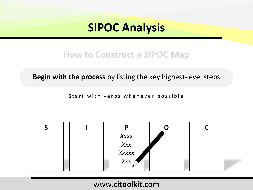## **How to Construct a SIPOC Map**

**Begin with the process** by listing the key highest-level steps

Start with verbs whenever possible

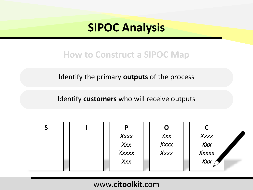## **How to Construct a SIPOC Map**

Identify the primary **outputs** of the process

Identify **customers** who will receive outputs

| $\mathsf{S}$ | P     |      |                      |
|--------------|-------|------|----------------------|
|              | Xxxx  | X    | Xxxx                 |
|              | X     | Xxxx | xxxx<br>Xxx<br>Xxxxx |
|              | Xxxxx | Xxxx |                      |
|              | Xxx   |      | Xxx                  |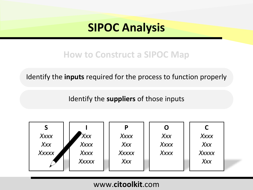## **How to Construct a SIPOC Map**

Identify the **inputs** required for the process to function properly

Identify the **suppliers** of those inputs

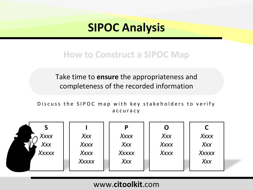## **How to Construct a SIPOC Map**

Take time to **ensure** the appropriateness and completeness of the recorded information

Discuss the SIPOC map with key stakeholders to verify a c c u r a c y

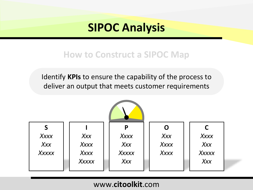## **How to Construct a SIPOC Map**

Identify **KPIs** to ensure the capability of the process to deliver an output that meets customer requirements

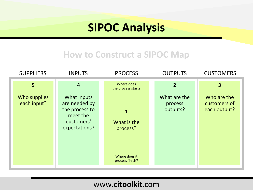## **How to Construct a SIPOC Map**

| <b>SUPPLIERS</b>            | <b>INPUTS</b>                                                                             | <b>PROCESS</b>                                                              | <b>OUTPUTS</b>                      | <b>CUSTOMERS</b>                            |
|-----------------------------|-------------------------------------------------------------------------------------------|-----------------------------------------------------------------------------|-------------------------------------|---------------------------------------------|
| 5 <sup>1</sup>              | $\overline{a}$                                                                            | Where does<br>the process start?                                            | $\overline{2}$                      | 3                                           |
| Who supplies<br>each input? | What inputs<br>are needed by<br>the process to<br>meet the<br>customers'<br>expectations? | $\mathbf{1}$<br>What is the<br>process?<br>Where does it<br>process finish? | What are the<br>process<br>outputs? | Who are the<br>customers of<br>each output? |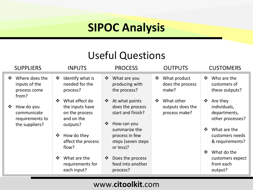## Useful Questions

| <b>SUPPLIERS</b>                                                         | <b>INPUTS</b>                                                                                                                                                                                                         | <b>PROCESS</b>                                                                                                                                                                                                                                       | <b>OUTPUTS</b>                                              | <b>CUSTOMERS</b>                                                                                                                                                                                                    |
|--------------------------------------------------------------------------|-----------------------------------------------------------------------------------------------------------------------------------------------------------------------------------------------------------------------|------------------------------------------------------------------------------------------------------------------------------------------------------------------------------------------------------------------------------------------------------|-------------------------------------------------------------|---------------------------------------------------------------------------------------------------------------------------------------------------------------------------------------------------------------------|
| Where does the<br>$\mathbf{v}$<br>inputs of the<br>process come<br>from? | Identify what is<br>❖<br>needed for the<br>process?                                                                                                                                                                   | What are you<br>$\frac{1}{2}$<br>producing with<br>the process?                                                                                                                                                                                      | What product<br>$\ddot{\cdot}$<br>does the process<br>make? | Who are the<br>❖<br>customers of<br>these outputs?                                                                                                                                                                  |
| How do you<br>❖<br>communicate<br>requirements to<br>the suppliers?      | What effect do<br>$\frac{1}{2}$<br>the inputs have<br>on the process<br>and on the<br>outputs?<br>How do they<br>❖<br>affect the process<br>flow?<br>What are the<br>$\frac{1}{2}$<br>requirements for<br>each input? | At what points<br>$\frac{1}{2}$<br>does the process<br>start and finish?<br>How can you<br>$\frac{1}{2}$<br>summarize the<br>process in few<br>steps (seven steps<br>or less)?<br>Does the process<br>$\frac{1}{2}$<br>feed into another<br>process? | What other<br>$\cdot$<br>outputs does the<br>process make?  | Are they<br>❖<br>individuals,<br>departments,<br>other processes?<br>What are the<br>$\mathbf{r}$<br>customers needs<br>& requirements?<br>What do the<br>$\frac{1}{2}$<br>customers expect<br>from each<br>output? |
|                                                                          |                                                                                                                                                                                                                       |                                                                                                                                                                                                                                                      |                                                             |                                                                                                                                                                                                                     |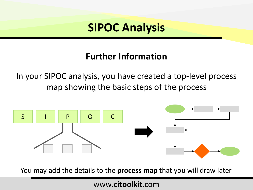## **Further Information**

In your SIPOC analysis, you have created a top-level process map showing the basic steps of the process



You may add the details to the **process map** that you will draw later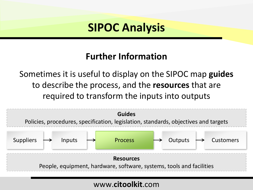## **Further Information**

Sometimes it is useful to display on the SIPOC map **guides** to describe the process, and the **resources** that are required to transform the inputs into outputs

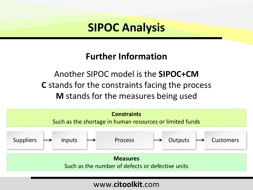## **Further Information**

Another SIPOC model is the **SIPOC+CM C** stands for the constraints facing the process **M** stands for the measures being used